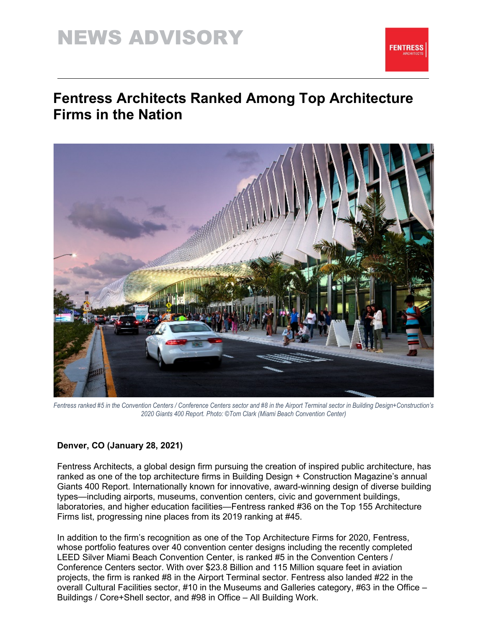# NEWS ADVISORY



### **Fentress Architects Ranked Among Top Architecture Firms in the Nation**



Fentress ranked #5 in the Convention Centers / Conference Centers sector and #8 in the Airport Terminal sector in Building Design+Construction's *2020 Giants 400 Report. Photo: ©Tom Clark (Miami Beach Convention Center)*

### **Denver, CO (January 28, 2021)**

Fentress Architects, a global design firm pursuing the creation of inspired public architecture, has ranked as one of the top architecture firms in Building Design + Construction Magazine's annual Giants 400 Report. Internationally known for innovative, award-winning design of diverse building types—including airports, museums, convention centers, civic and government buildings, laboratories, and higher education facilities—Fentress ranked #36 on the Top 155 Architecture Firms list, progressing nine places from its 2019 ranking at #45.

In addition to the firm's recognition as one of the Top Architecture Firms for 2020, Fentress, whose portfolio features over 40 convention center designs including the recently completed LEED Silver Miami Beach Convention Center, is ranked #5 in the Convention Centers / Conference Centers sector. With over \$23.8 Billion and 115 Million square feet in aviation projects, the firm is ranked #8 in the Airport Terminal sector. Fentress also landed #22 in the overall Cultural Facilities sector, #10 in the Museums and Galleries category, #63 in the Office – Buildings / Core+Shell sector, and #98 in Office – All Building Work.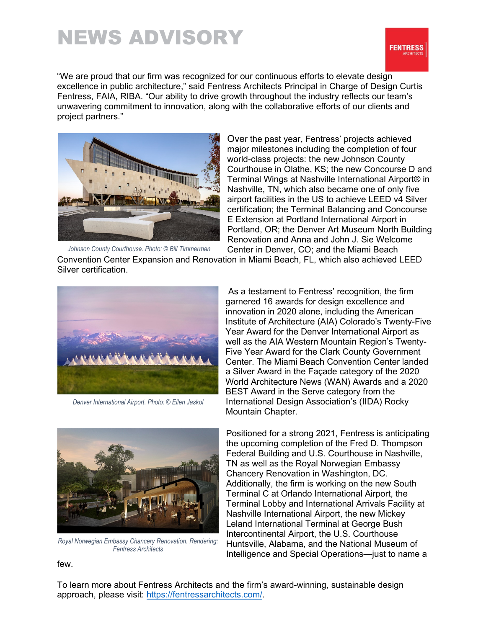# NEWS ADVISORY



"We are proud that our firm was recognized for our continuous efforts to elevate design excellence in public architecture," said Fentress Architects Principal in Charge of Design Curtis Fentress, FAIA, RIBA. "Our ability to drive growth throughout the industry reflects our team's unwavering commitment to innovation, along with the collaborative efforts of our clients and project partners."



Over the past year, Fentress' projects achieved major milestones including the completion of four world-class projects: the new Johnson County Courthouse in Olathe, KS; the new Concourse D and Terminal Wings at Nashville International Airport® in Nashville, TN, which also became one of only five airport facilities in the US to achieve LEED v4 Silver certification; the Terminal Balancing and Concourse E Extension at Portland International Airport in Portland, OR; the Denver Art Museum North Building Renovation and Anna and John J. Sie Welcome Center in Denver, CO; and the Miami Beach

*Johnson County Courthouse. Photo: © Bill Timmerman*

Convention Center Expansion and Renovation in Miami Beach, FL, which also achieved LEED Silver certification.



*Denver International Airport. Photo: © Ellen Jaskol*

As a testament to Fentress' recognition, the firm garnered 16 awards for design excellence and innovation in 2020 alone, including the American Institute of Architecture (AIA) Colorado's Twenty-Five Year Award for the Denver International Airport as well as the AIA Western Mountain Region's Twenty-Five Year Award for the Clark County Government Center. The Miami Beach Convention Center landed a Silver Award in the Façade category of the 2020 World Architecture News (WAN) Awards and a 2020 BEST Award in the Serve category from the International Design Association's (IIDA) Rocky Mountain Chapter.

Positioned for a strong 2021, Fentress is anticipating the upcoming completion of the Fred D. Thompson Federal Building and U.S. Courthouse in Nashville, TN as well as the Royal Norwegian Embassy Chancery Renovation in Washington, DC. Additionally, the firm is working on the new South Terminal C at Orlando International Airport, the Terminal Lobby and International Arrivals Facility at Nashville International Airport, the new Mickey Leland International Terminal at George Bush Intercontinental Airport, the U.S. Courthouse Huntsville, Alabama, and the National Museum of Intelligence and Special Operations—just to name a

*Royal Norwegian Embassy Chancery Renovation. Rendering: Fentress Architects*

few.

To learn more about Fentress Architects and the firm's award-winning, sustainable design approach, please visit: [https://fentressarchitects.com/.](https://fentressarchitects.com/)